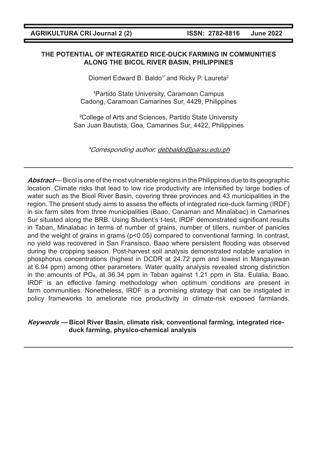### **THE POTENTIAL OF INTEGRATED RICE-DUCK FARMING IN COMMUNITIES ALONG THE BICOL RIVER BASIN, PHILIPPINES**

Diomerl Edward B. Baldo<sup>1\*</sup> and Ricky P. Laureta<sup>2</sup>

<sup>1</sup> Partido State University, Caramoan Campus Cadong, Caramoan Camarines Sur, 4429, Philippines

²College of Arts and Sciences, Partido State University San Juan Bautista, Goa, Camarines Sur, 4422, Philippines

\*Corresponding author: debbaldo@parsu.edu.ph

**Abstract** — Bicol is one of the most vulnerable regions in the Philippines due to its geographic location. Climate risks that lead to low rice productivity are intensified by large bodies of water such as the Bicol River Basin, covering three provinces and 43 municipalities in the region. The present study aims to assess the effects of integrated rice-duck farming (IRDF) in six farm sites from three municipalities (Baao, Canaman and Minalabac) in Camarines Sur situated along the BRB. Using Student's t-test, IRDF demonstrated significant results in Taban, Minalabac in terms of number of grains, number of tillers, number of panicles and the weight of grains in grams  $(p<0.05)$  compared to conventional farming. In contrast, no yield was recovered in San Fransisco, Baao where persistent flooding was observed during the cropping season. Post-harvest soil analysis demonstrated notable variation in phosphorus concentrations (highest in DCDR at 24.72 ppm and lowest in Mangayawan at 6.94 ppm) among other parameters. Water quality analysis revealed strong distinction in the amounts of PO4, at 36.34 ppm in Taban against 1.21 ppm in Sta. Eulalia, Baao. IRDF is an effective faming methodology when optimum conditions are present in farm communities. Nonetheless, IRDF is a promising strategy that can be instigated in policy frameworks to ameliorate rice productivity in climate-risk exposed farmlands.

## **Keywords — Bicol River Basin, climate risk, conventional farming, integrated riceduck farming, physico-chemical analysis**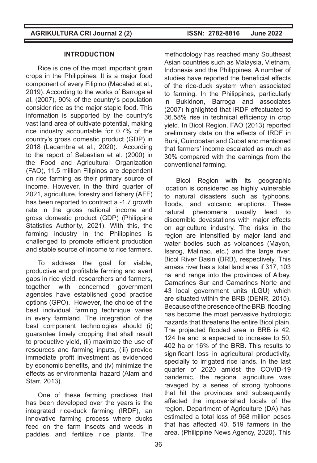## **INTRODUCTION**

Rice is one of the most important grain crops in the Philippines. It is a major food component of every Filipino (Macalad et al., 2019). According to the works of Barroga et al. (2007), 90% of the country's population consider rice as the major staple food. This information is supported by the country's vast land area of cultivate potential, making rice industry accountable for 0.7% of the country's gross domestic product (GDP) in 2018 (Lacambra et al., 2020). According to the report of Sebastian et al. (2000) in the Food and Agricultural Organization (FAO), 11.5 million Filipinos are dependent on rice farming as their primary source of income. However, in the third quarter of 2021, agriculture, forestry and fishery (AFF) has been reported to contract a -1.7 growth rate in the gross national income and gross domestic product (GDP) (Philippine Statistics Authority, 2021). With this, the farming industry in the Philippines is challenged to promote efficient production and stable source of income to rice farmers.

To address the goal for viable, productive and profitable farming and avert gaps in rice yield, researchers and farmers, together with concerned government agencies have established good practice options (GPO). However, the choice of the best individual farming technique varies in every farmland. The integration of the best component technologies should (i) guarantee timely cropping that shall result to productive yield, (ii) maximize the use of resources and farming inputs, (iii) provide immediate profit investment as evidenced by economic benefits, and (iv) minimize the effects as environmental hazard (Alam and Starr, 2013).

One of these farming practices that has been developed over the years is the integrated rice-duck farming (IRDF), an innovative farming process where ducks feed on the farm insects and weeds in paddies and fertilize rice plants. The

methodology has reached many Southeast Asian countries such as Malaysia, Vietnam, Indonesia and the Philippines. A number of studies have reported the beneficial effects of the rice-duck system when associated to farming. In the Philippines, particularly in Bukidnon, Barroga and associates (2007) highlighted that IRDF effectuated to 36.58% rise in technical efficiency in crop yield. In Bicol Region, FAO (2013) reported preliminary data on the effects of IRDF in Buhi, Guinobatan and Gubat and mentioned that farmers' income escalated as much as 30% compared with the earnings from the conventional farming.

Bicol Region with its geographic location is considered as highly vulnerable to natural disasters such as typhoons, floods, and volcanic eruptions. These natural phenomena usually lead to discernible devastations with major effects on agriculture industry. The risks in the region are intensified by major land and water bodies such as volcanoes (Mayon, Isarog, Malinao, etc.) and the large river, Bicol River Basin (BRB), respectively. This amass river has a total land area if 317, 103 ha and range into the provinces of Albay, Camarines Sur and Camarines Norte and 43 local government units (LGU) which are situated within the BRB (DENR, 2015). Because of the presence of the BRB, flooding has become the most pervasive hydrologic hazards that threatens the entire Bicol plain. The projected flooded area in BRB is 42, 124 ha and is expected to increase to 50, 402 ha or 16% of the BRB. This results to significant loss in agricultural productivity, specially to irrigated rice lands. In the last quarter of 2020 amidst the COVID-19 pandemic, the regional agriculture was ravaged by a series of strong typhoons that hit the provinces and subsequently affected the impoverished locals of the region. Department of Agriculture (DA) has estimated a total loss of 968 million pesos that has affected 40, 519 farmers in the area. (Philippine News Agency, 2020). This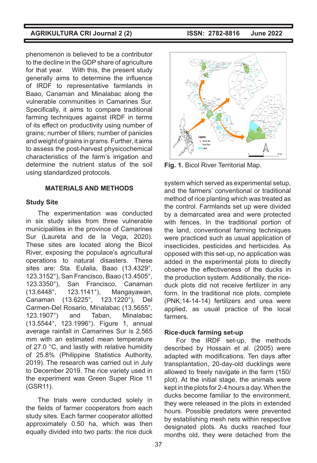phenomenon is believed to be a contributor to the decline in the GDP share of agriculture for that year. With this, the present study generally aims to determine the influence of IRDF to representative farmlands in Baao, Canaman and Minalabac along the vulnerable communities in Camarines Sur. Specifically, it aims to compare traditional farming techniques against IRDF in terms of its effect on productivity using number of grains; number of tillers; number of panicles and weight of grains in grams. Further, it aims to assess the post-harvest physicochemical characteristics of the farm's irrigation and determine the nutrient status of the soil using standardized protocols.

### **MATERIALS AND METHODS**

### **Study Site**

The experimentation was conducted in six study sites from three vulnerable municipalities in the province of Camarines Sur (Laureta and de la Vega, 2020). These sites are located along the Bicol River, exposing the populace's agricultural operations to natural disasters. These sites are: Sta. Eulalia, Baao (13.4329°, 123.3152°), San Francisco, Baao (13.4505°, 123.3350°), San Francisco, Canaman (13.6448°, 123.1141°), Mangayawan, Canaman (13.6225°, 123.1220°), Del Carmen‑Del Rosario, Minalabac (13.5655°, 123.1907°) and Taban, Minalabac (13.5544°, 123.1996°). Figure 1, annual average rainfall in Camarines Sur is 2,565 mm with an estimated mean temperature of 27.0 °C, and lastly with relative humidity of 25.8% (Philippine Statistics Authority, 2019). The research was carried out in July to December 2019. The rice variety used in the experiment was Green Super Rice 11 (GSR11).

The trials were conducted solely in the fields of farmer cooperators from each study sites. Each farmer cooperator allotted approximately 0.50 ha, which was then equally divided into two parts: the rice duck



**Fig. 1.** Bicol River Territorial Map.

system which served as experimental setup, and the farmers' conventional or traditional method of rice planting which was treated as the control. Farmlands set up were divided by a demarcated area and were protected with fences. In the traditional portion of the land, conventional farming techniques were practiced such as usual application of insecticides, pesticides and herbicides. As opposed with this set-up, no application was added in the experimental plots to directly observe the effectiveness of the ducks in the production system. Additionally, the riceduck plots did not receive fertilizer in any form. In the traditional rice plots, complete (PNK;14-14-14) fertilizers and urea were applied, as usual practice of the local farmers.

## **Rice-duck farming set-up**

For the IRDF set-up, the methods described by Hossain et al. (2005) were adapted with modifications. Ten days after transplantation, 20-day-old ducklings were allowed to freely navigate in the farm (150/ plot). At the initial stage, the animals were kept in the plots for 2-4 hours a day. When the ducks become familiar to the environment, they were released in the plots in extended hours. Possible predators were prevented by establishing mesh nets within respective designated plots. As ducks reached four months old, they were detached from the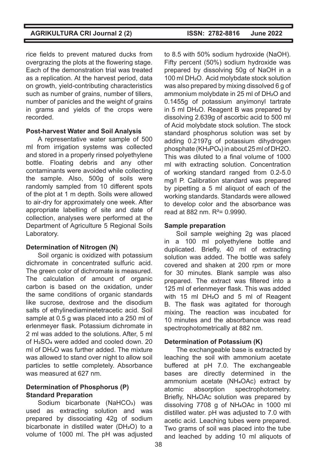rice fields to prevent matured ducks from overgrazing the plots at the flowering stage. Each of the demonstration trial was treated as a replication. At the harvest period, data on growth, yield-contributing characteristics such as number of grains, number of tillers, number of panicles and the weight of grains in grams and yields of the crops were recorded.

### **Post-harvest Water and Soil Analysis**

A representative water sample of 500 ml from irrigation systems was collected and stored in a properly rinsed polyethylene bottle. Floating debris and any other contaminants were avoided while collecting the sample. Also, 500g of soils were randomly sampled from 10 different spots of the plot at 1 m depth. Soils were allowed to air-dry for approximately one week. After appropriate labelling of site and date of collection, analyses were performed at the Department of Agriculture 5 Regional Soils Laboratory.

## **Determination of Nitrogen (N)**

Soil organic is oxidized with potassium dichromate in concentrated sulfuric acid. The green color of dichromate is measured. The calculation of amount of organic carbon is based on the oxidation, under the same conditions of organic standards like sucrose, dextrose and the disodium salts of ethylinediaminetetracetic acid. Soil sample at 0.5 g was placed into a 250 ml of erlenmeyer flask. Potassium dichromate in 2 ml was added to the solutions. After, 5 ml of H2SO4 were added and cooled down. 20 ml of DH2O was further added. The mixture was allowed to stand over night to allow soil particles to settle completely. Absorbance was measured at 627 nm.

## **Determination of Phosphorus (P) Standard Preparation**

Sodium bicarbonate (NaHCO<sub>3</sub>) was used as extracting solution and was prepared by dissociating 42g of sodium bicarbonate in distilled water (DH<sub>2</sub>O) to a volume of 1000 ml. The pH was adjusted

to 8.5 with 50% sodium hydroxide (NaOH). Fifty percent (50%) sodium hydroxide was prepared by dissolving 50g of NaOH in a 100 ml DH2O. Acid molybdate stock solution was also prepared by mixing dissolved 6 g of ammonium molybdate in 25 ml of DH<sub>2</sub>O and 0.1455g of potassium anyimonyl tartrate in 5 ml DH2O. Reagent B was prepared by dissolving 2.639g of ascorbic acid to 500 ml of Acid molybdate stock solution. The stock standard phosphorus solution was set by adding 0.2197g of potassium dihydrogen phosphate (KH2PO4) in about 25 ml of DH2O. This was diluted to a final volume of 1000 ml with extracting solution. Concentration of working standard ranged from 0.2-5.0 mg/l P. Calibration standard was prepared by pipetting a 5 ml aliquot of each of the working standards. Standards were allowed to develop color and the absorbance was read at 882 nm.  $R^2 = 0.9990$ .

## **Sample preparation**

Soil sample weighing 2g was placed in a 100 ml polyethylene bottle and duplicated. Briefly, 40 ml of extracting solution was added. The bottle was safely covered and shaken at 200 rpm or more for 30 minutes. Blank sample was also prepared. The extract was filtered into a 125 ml of erlenmeyer flask. This was added with 15 ml DH2O and 5 ml of Reagent B. The flask was agitated for thorough mixing. The reaction was incubated for 10 minutes and the absorbance was read spectrophotometrically at 882 nm.

## **Determination of Potassium (K)**

The exchangeable base is extracted by leaching the soil with ammonium acetate buffered at pH 7.0. The exchangeable bases are directly determined in the ammonium acetate (NH4OAc) extract by atomic absorption spectrophotometry. Briefly, NH4OAc solution was prepared by dissolving 7708 g of NH4OAc in 1000 ml distilled water. pH was adjusted to 7.0 with acetic acid. Leaching tubes were prepared. Two grams of soil was placed into the tube and leached by adding 10 ml aliquots of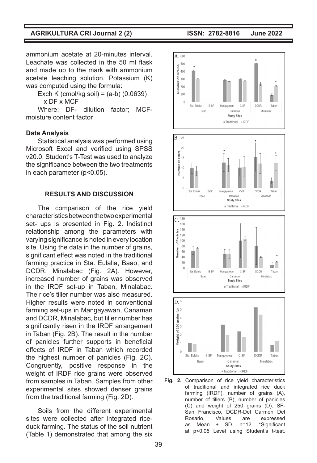ammonium acetate at 20-minutes interval. Leachate was collected in the 50 ml flask and made up to the mark with ammonium acetate leaching solution. Potassium (K) was computed using the formula:

Exch K (cmol/kg soil) =  $(a-b)$  (0.0639) x DF x MCF

Where; DF- dilution factor; MCFmoisture content factor

#### **Data Analysis**

Statistical analysis was performed using Microsoft Excel and verified using SPSS v20.0. Student's T-Test was used to analyze the significance between the two treatments in each parameter (p<0.05).

#### **RESULTS AND DISCUSSION**

The comparison of the rice yield characteristics between the two experimental set- ups is presented in Fig. 2. Indistinct relationship among the parameters with varying significance is noted in every location site. Using the data in the number of grains, significant effect was noted in the traditional farming practice in Sta. Eulalia, Baao, and DCDR, Minalabac (Fig. 2A). However, increased number of grains was observed in the IRDF set-up in Taban, Minalabac. The rice's tiller number was also measured. Higher results were noted in conventional farming set-ups in Mangayawan, Canaman and DCDR, Minalabac, but tiller number has significantly risen in the IRDF arrangement in Taban (Fig. 2B). The result in the number of panicles further supports in beneficial effects of IRDF in Taban which recorded the highest number of panicles (Fig. 2C). Congruently, positive response in the weight of IRDF rice grains were observed from samples in Taban. Samples from other experimental sites showed denser grains from the traditional farming (Fig. 2D).

Soils from the different experimental sites were collected after integrated riceduck farming. The status of the soil nutrient (Table 1) demonstrated that among the six



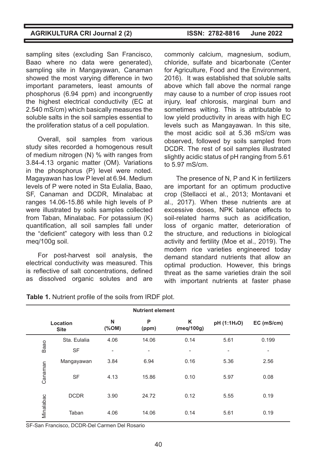sampling sites (excluding San Francisco, Baao where no data were generated), sampling site in Mangayawan, Canaman showed the most varying difference in two important parameters, least amounts of phosphorus (6.94 ppm) and incongruently the highest electrical conductivity (EC at 2.540 mS/cm) which basically measures the soluble salts in the soil samples essential to the proliferation status of a cell population.

Overall, soil samples from various study sites recorded a homogenous result of medium nitrogen (N) % with ranges from 3.84-4.13 organic matter (OM). Variations in the phosphorus (P) level were noted. Magayawan has low P level at 6.94. Medium levels of P were noted in Sta Eulalia, Baao, SF, Canaman and DCDR, Minalabac at ranges 14.06-15.86 while high levels of P were illustrated by soils samples collected from Taban, Minalabac. For potassium (K) quantification, all soil samples fall under the "deficient" category with less than 0.2 meq/100g soil.

For post-harvest soil analysis, the electrical conductivity was measured. This is reflective of salt concentrations, defined as dissolved organic solutes and are commonly calcium, magnesium, sodium, chloride, sulfate and bicarbonate (Center for Agriculture, Food and the Environment, 2016). It was established that soluble salts above which fall above the normal range may cause to a number of crop issues root injury, leaf chlorosis, marginal burn and sometimes wilting. This is attributable to low yield productivity in areas with high EC levels such as Mangayawan. In this site, the most acidic soil at 5.36 mS/cm was observed, followed by soils sampled from DCDR. The rest of soil samples illustrated

slightly acidic status of pH ranging from 5.61

to 5.97 mS/cm.

The presence of N, P and K in fertilizers are important for an optimum productive crop (Stellacci et al., 2013; Montavani et al., 2017). When these nutrients are at excessive doses, NPK balance effects to soil-related harms such as acidification, loss of organic matter, deterioration of the structure, and reductions in biological activity and fertility (Moe et al., 2019). The modern rice varieties engineered today demand standard nutrients that allow an optimal production. However, this brings threat as the same varieties drain the soil with important nutrients at faster phase

| <b>Nutrient element</b> |              |                          |                              |                          |                          |                          |  |  |  |
|-------------------------|--------------|--------------------------|------------------------------|--------------------------|--------------------------|--------------------------|--|--|--|
| Location<br><b>Site</b> |              | N<br>$(\%OM)$            | P<br>(ppm)                   | Κ<br>(meq/100g)          | pH (1:1H <sub>2</sub> O) | EC (mS/cm)               |  |  |  |
| Baao                    | Sta. Eulalia | 4.06                     | 14.06                        | 0.14                     | 5.61                     | 0.199                    |  |  |  |
|                         | <b>SF</b>    | $\overline{\phantom{0}}$ | $\qquad \qquad \blacksquare$ | $\overline{\phantom{a}}$ | $\blacksquare$           | $\overline{\phantom{a}}$ |  |  |  |
| Canaman                 | Mangayawan   | 3.84                     | 6.94                         | 0.16                     | 5.36                     | 2.56                     |  |  |  |
|                         | <b>SF</b>    | 4.13                     | 15.86                        | 0.10                     | 5.97                     | 0.08                     |  |  |  |
| Minalabac               | <b>DCDR</b>  | 3.90                     | 24.72                        | 0.12                     | 5.55                     | 0.19                     |  |  |  |
|                         | Taban        | 4.06                     | 14.06                        | 0.14                     | 5.61                     | 0.19                     |  |  |  |

**Table 1.** Nutrient profile of the soils from IRDF plot.

SF-San Francisco, DCDR-Del Carmen Del Rosario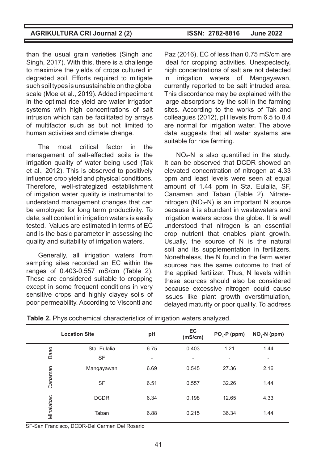than the usual grain varieties (Singh and Singh, 2017). With this, there is a challenge to maximize the yields of crops cultured in degraded soil. Efforts required to mitigate such soil types is unsustainable on the global scale (Moe et al., 2019). Added impediment in the optimal rice yield are water irrigation systems with high concentrations of salt intrusion which can be facilitated by arrays of multifactor such as but not limited to human activities and climate change.

The most critical factor in the management of salt-affected soils is the irrigation quality of water being used (Tak et al., 2012). This is observed to positively influence crop yield and physical conditions. Therefore, well-strategized establishment of irrigation water quality is instrumental to understand management changes that can be employed for long term productivity. To date, salt content in irrigation waters is easily tested. Values are estimated in terms of EC and is the basic parameter in assessing the quality and suitability of irrigation waters.

Generally, all irrigation waters from sampling sites recorded an EC within the ranges of 0.403-0.557 mS/cm (Table 2). These are considered suitable to cropping except in some frequent conditions in very sensitive crops and highly clayey soils of poor permeability. According to Visconti and

Paz (2016), EC of less than 0.75 mS/cm are ideal for cropping activities. Unexpectedly, high concentrations of salt are not detected in irrigation waters of Mangayawan, currently reported to be salt intruded area. This discordance may be explained with the large absorptions by the soil in the farming sites. According to the works of Tak and colleagues (2012), pH levels from 6.5 to 8.4 are normal for irrigation water. The above data suggests that all water systems are suitable for rice farming.

NO3-N is also quantified in the study. It can be observed that DCDR showed an elevated concentration of nitrogen at 4.33 ppm and least levels were seen at equal amount of 1.44 ppm in Sta. Eulalia, SF, Canaman and Taban (Table 2). Nitratenitrogen (NO<sub>3</sub>-N) is an important N source because it is abundant in wastewaters and irrigation waters across the globe. It is well understood that nitrogen is an essential crop nutrient that enables plant growth. Usually, the source of N is the natural soil and its supplementation in fertilizers. Nonetheless, the N found in the farm water sources has the same outcome to that of the applied fertilizer. Thus, N levels within these sources should also be considered because excessive nitrogen could cause issues like plant growth overstimulation, delayed maturity or poor quality. To address

|           | <b>Location Site</b> | pH                       | EC<br>(mS/cm)            | $PO4-P$ (ppm)            | $NO3-N$ (ppm)            |
|-----------|----------------------|--------------------------|--------------------------|--------------------------|--------------------------|
| Baao      | Sta. Eulalia         | 6.75                     | 0.403                    | 1.21                     | 1.44                     |
|           | <b>SF</b>            | $\overline{\phantom{0}}$ | $\overline{\phantom{0}}$ | $\overline{\phantom{0}}$ | $\overline{\phantom{a}}$ |
| Canaman   | Mangayawan           | 6.69                     | 0.545                    | 27.36                    | 2.16                     |
|           | <b>SF</b>            | 6.51                     | 0.557                    | 32.26                    | 1.44                     |
|           | <b>DCDR</b>          | 6.34                     | 0.198                    | 12.65                    | 4.33                     |
| Minalabac | Taban                | 6.88                     | 0.215                    | 36.34                    | 1.44                     |

**Table 2.** Physicochemical characteristics of irrigation waters analyzed.

SF-San Francisco, DCDR-Del Carmen Del Rosario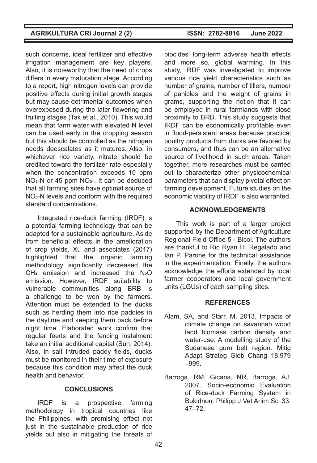such concerns, ideal fertilizer and effective irrigation management are key players. Also, it is noteworthy that the need of crops differs in every maturation stage. According to a report, high nitrogen levels can provide positive effects during initial growth stages but may cause detrimental outcomes when overexposed during the later flowering and fruiting stages (Tak et al., 2010). This would mean that farm water with elevated N level can be used early in the cropping season but this should be controlled as the nitrogen needs deescalates as it matures. Also, in whichever rice variety, nitrate should be credited toward the fertilizer rate especially when the concentration exceeds 10 ppm NO3-N or 45 ppm NO3-. It can be deduced that all farming sites have optimal source of NO3-N levels and conform with the required standard concentrations.

Integrated rice-duck farming (IRDF) is a potential farming technology that can be adapted for a sustainable agriculture. Aside from beneficial effects in the amelioration of crop yields, Xu and associates (2017) highlighted that the organic farming methodology significantly decreased the CH4 emission and increased the N2O emission. However, IRDF suitability to vulnerable communities along BRB is a challenge to be won by the farmers. Attention must be extended to the ducks such as herding them into rice paddies in the daytime and keeping them back before night time. Elaborated work confirm that regular feeds and the fencing instalment take an initial additional capital (Suh, 2014). Also, in salt intruded paddy fields, ducks must be monitored in their time of exposure because this condition may affect the duck health and behavior.

## **CONCLUSIONS**

IRDF is a prospective farming methodology in tropical countries like the Philippines, with promising effect not iust in the sustainable production of rice yields but also in mitigating the threats of

biocides' long-term adverse health effects and more so, global warming. In this study, IRDF was investigated to improve various rice yield characteristics such as number of grains, number of tillers, number of panicles and the weight of grains in grams, supporting the notion that it can be employed in rural farmlands with close proximity to BRB. This study suggests that IRDF can be economically profitable even in flood-persistent areas because practical poultry products from ducks are favored by consumers, and thus can be an alternative source of livelihood in such areas. Taken together, more researches must be carried out to characterize other physicochemical parameters that can display pivotal effect on farming development. Future studies on the economic viability of IRDF is also warranted.

## **ACKNOWLEDGEMENTS**

This work is part of a larger project supported by the Department of Agriculture Regional Field Office 5 - Bicol. The authors are thankful to Ric Ryan H. Regalado and Ian P. Parone for the technical assistance in the experimentation. Finally, the authors acknowledge the efforts extended by local farmer cooperators and local government units (LGUs) of each sampling sites.

#### **REFERENCES**

- Alam, SA, and Starr, M. 2013. Impacts of climate change on savannah wood land biomass carbon density and water-use: A modelling study of the Sudanese gum belt region. Mitig Adapt Strateg Glob Chang 18:979 ‒999.
- Barroga, RM, Gicana, NR, Barroga, AJ. 2007. Socio-economic Evaluation of Rice-duck Farming System in Bukidnon. Philipp J Vet Anim Sci 33: 47‒72.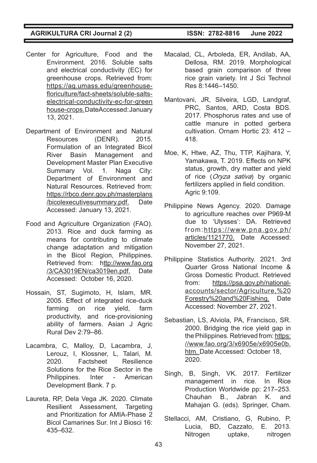- Center for Agriculture, Food and the Environment. 2016. Soluble salts and electrical conductivity (EC) for greenhouse crops. Retrieved from: https://ag.umass.edu/greenhousefloriculture/fact-sheets/soluble-saltselectrical-conductivity-ec-for-green house-crops. DateAccessed: January 13, 2021.
- Department of Environment and Natural Resources (DENR). 2015. Formulation of an Integrated Bicol River Basin Management and Development Master Plan Executive Summary Vol. 1. Naga City: Department of Environment and Natural Resources. Retrieved from: https://rbco.denr.gov.ph/masterplans /bicolexecutivesummary.pdf. Date Accessed: January 13, 2021.
- Food and Agriculture Organization (FAO). 2013. Rice and duck farming as means for contributing to climate change adaptation and mitigation in the Bicol Region, Philippines. Retrieved from: http://www.fao.org /3/CA3019EN/ca3019en.pdf. Date Accessed: October 16, 2020.
- Hossain, ST, Sugimoto, H, Islam, MR. 2005. Effect of integrated rice-duck farming on rice yield, farm productivity, and rice-provisioning ability of farmers. Asian J Agric Rural Dev 2:79‒86.
- Lacambra, C, Malloy, D, Lacambra, J, Lerouz, I, Klossner, L, Talari, M. 2020. Factsheet Resilience Solutions for the Rice Sector in the Philippines. Inter - American Development Bank. 7 p.
- Laureta, RP, Dela Vega JK. 2020. Climate Resilient Assessment, Targeting and Prioritization for AMIA-Phase 2 Bicol Camarines Sur. Int J Biosci 16: 435‒632.

- Macalad, CL, Arboleda, ER, Andilab, AA, Dellosa, RM. 2019. Morphological based grain comparison of three rice grain variety. Int J Sci Technol Res 8:1446‒1450.
- Mantovani, JR, Silveira, LGD, Landgraf, PRC, Santos, ARD, Costa BDS. 2017. Phosphorus rates and use of cattle manure in potted gerbera cultivation. Ornam Hortic 23: 412 -418.
- Moe, K, Htwe, AZ, Thu, TTP, Kajihara, Y, Yamakawa, T. 2019. Effects on NPK status, growth, dry matter and yield of rice (*Oryza sativa*) by organic fertilizers applied in field condition. Agric 9:109.
- Philippine News Agency. 2020. Damage to agriculture reaches over P969-M due to 'Ulysses': DA. Retrieved from:https://www.pna.gov.ph/ articles/1121770. Date Accessed: November 27, 2021.
- Philippine Statistics Authority. 2021. 3rd Quarter Gross National Income & Gross Domestic Product. Retrieved from: https://psa.gov.ph/nationalaccounts/sector/Agriculture,%20 Forestry%20and%20Fishing. Date Accessed: November 27, 2021.
- Sebastian, LS, Alviola, PA, Francisco, SR. 2000. Bridging the rice yield gap in the Philippines. Retrieved from: https: //www.fao.org/3/x6905e/x6905e0b. htm. Date Accessed: October 18, 2020.
- Singh, B, Singh, VK. 2017. Fertilizer management in rice. In Rice Production Worldwide pp: 217-253. Chauhan B., Jabran K. and Mahajan G. (eds). Springer, Cham.
- Stellacci, AM, Cristiano, G, Rubino, P, Lucia, BD, Cazzato, E. 2013. Nitrogen uptake, nitrogen